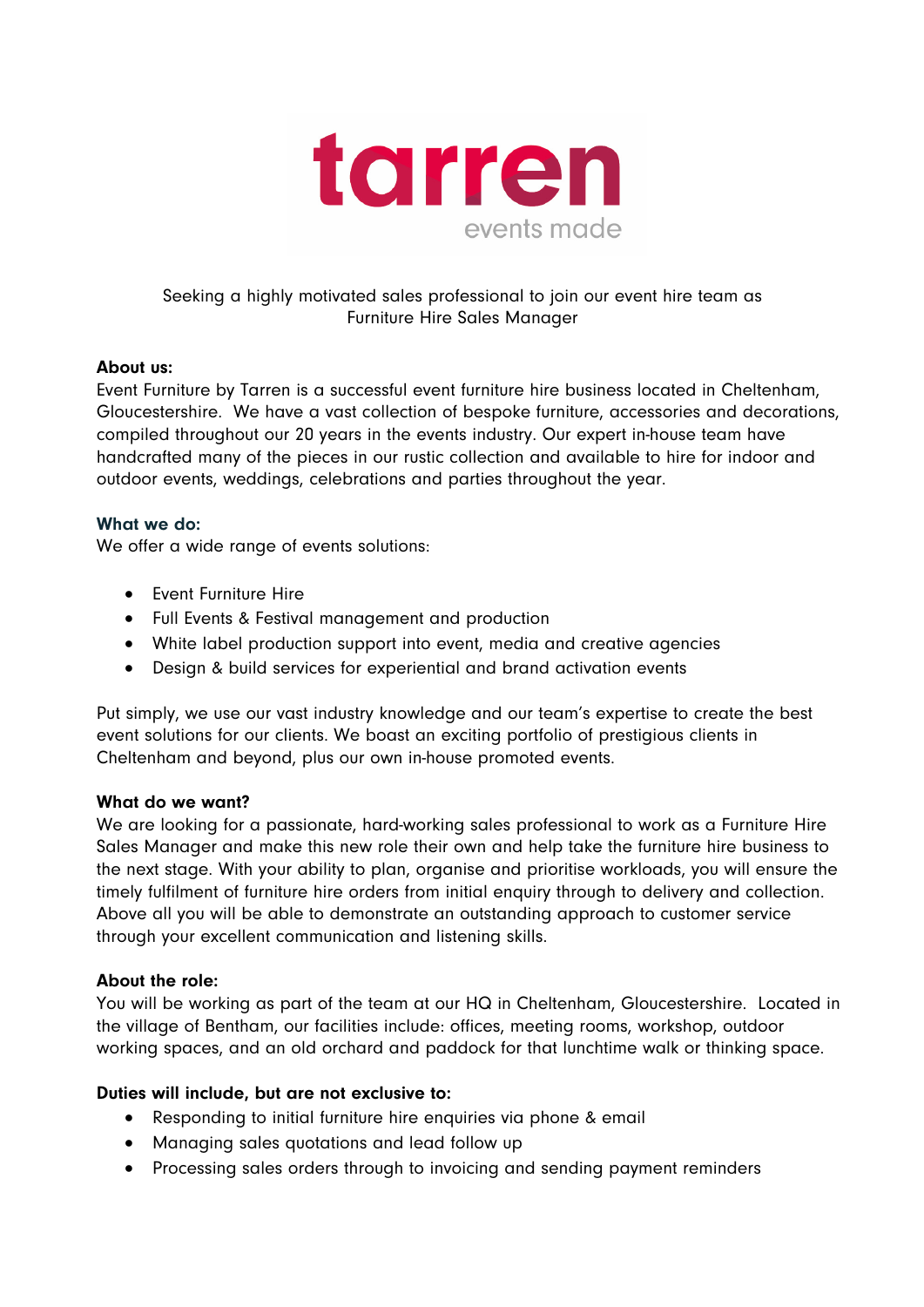

# Seeking a highly motivated sales professional to join our event hire team as Furniture Hire Sales Manager

#### About us:

Event Furniture by Tarren is a successful event furniture hire business located in Cheltenham, Gloucestershire. We have a vast collection of bespoke furniture, accessories and decorations, compiled throughout our 20 years in the events industry. Our expert in-house team have handcrafted many of the pieces in our rustic collection and available to hire for indoor and outdoor events, weddings, celebrations and parties throughout the year.

### What we do:

We offer a wide range of events solutions:

- Event Furniture Hire
- Full Events & Festival management and production
- White label production support into event, media and creative agencies
- Design & build services for experiential and brand activation events

Put simply, we use our vast industry knowledge and our team's expertise to create the best event solutions for our clients. We boast an exciting portfolio of prestigious clients in Cheltenham and beyond, plus our own in-house promoted events.

#### What do we want?

We are looking for a passionate, hard-working sales professional to work as a Furniture Hire Sales Manager and make this new role their own and help take the furniture hire business to the next stage. With your ability to plan, organise and prioritise workloads, you will ensure the timely fulfilment of furniture hire orders from initial enquiry through to delivery and collection. Above all you will be able to demonstrate an outstanding approach to customer service through your excellent communication and listening skills.

#### About the role:

You will be working as part of the team at our HQ in Cheltenham, Gloucestershire. Located in the village of Bentham, our facilities include: offices, meeting rooms, workshop, outdoor working spaces, and an old orchard and paddock for that lunchtime walk or thinking space.

#### Duties will include, but are not exclusive to:

- Responding to initial furniture hire enquiries via phone & email
- Managing sales quotations and lead follow up
- Processing sales orders through to invoicing and sending payment reminders